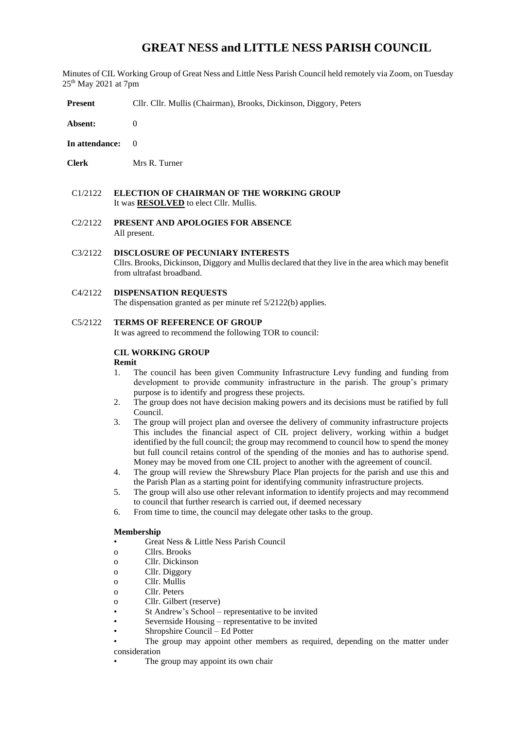# **GREAT NESS and LITTLE NESS PARISH COUNCIL**

Minutes of CIL Working Group of Great Ness and Little Ness Parish Council held remotely via Zoom, on Tuesday 25th May 2021 at 7pm

**Present** Cllr. Cllr. Mullis (Chairman), Brooks, Dickinson, Diggory, Peters

**Absent:** 0

- **In attendance:** 0
- **Clerk** Mrs R. Turner
- C1/2122 **ELECTION OF CHAIRMAN OF THE WORKING GROUP**  It was **RESOLVED** to elect Cllr. Mullis.
- C2/2122 **PRESENT AND APOLOGIES FOR ABSENCE** All present.
- C3/2122 **DISCLOSURE OF PECUNIARY INTERESTS** Cllrs. Brooks, Dickinson, Diggory and Mullis declared that they live in the area which may benefit from ultrafast broadband.

#### C4/2122 **DISPENSATION REQUESTS**

The dispensation granted as per minute ref 5/2122(b) applies.

### C5/2122 **TERMS OF REFERENCE OF GROUP**

It was agreed to recommend the following TOR to council:

# **CIL WORKING GROUP**

#### **Remit**

- 1. The council has been given Community Infrastructure Levy funding and funding from development to provide community infrastructure in the parish. The group's primary purpose is to identify and progress these projects.
- 2. The group does not have decision making powers and its decisions must be ratified by full Council.
- 3. The group will project plan and oversee the delivery of community infrastructure projects This includes the financial aspect of CIL project delivery, working within a budget identified by the full council; the group may recommend to council how to spend the money but full council retains control of the spending of the monies and has to authorise spend. Money may be moved from one CIL project to another with the agreement of council.
- 4. The group will review the Shrewsbury Place Plan projects for the parish and use this and the Parish Plan as a starting point for identifying community infrastructure projects.
- 5. The group will also use other relevant information to identify projects and may recommend to council that further research is carried out, if deemed necessary
- 6. From time to time, the council may delegate other tasks to the group.

#### **Membership**

- Great Ness & Little Ness Parish Council
- o Cllrs. Brooks
- o Cllr. Dickinson
- o Cllr. Diggory
- o Cllr. Mullis
- o Cllr. Peters
- o Cllr. Gilbert (reserve)
- St Andrew's School representative to be invited
- Severnside Housing representative to be invited
- Shropshire Council Ed Potter
- The group may appoint other members as required, depending on the matter under consideration
- The group may appoint its own chair